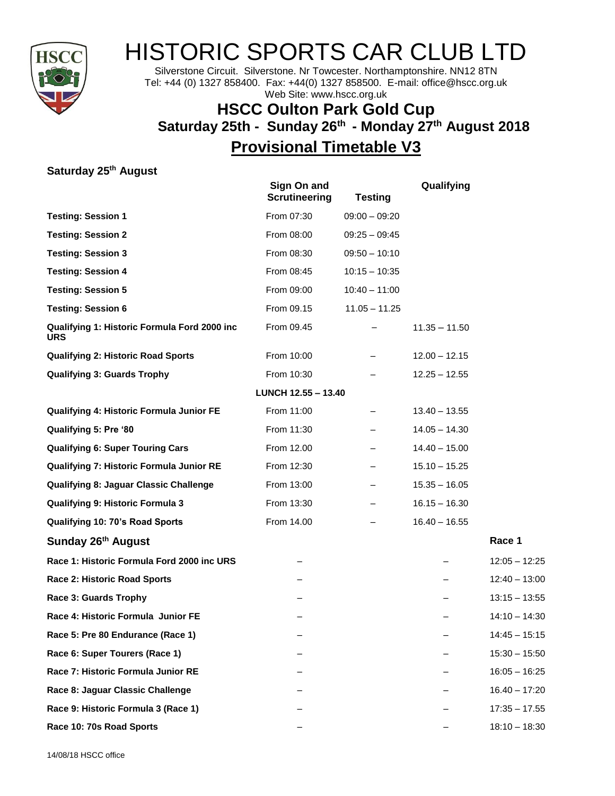

## HISTORIC SPORTS CAR CLUB LTD

Silverstone Circuit. Silverstone. Nr Towcester. Northamptonshire. NN12 8TN Tel: +44 (0) 1327 858400. Fax: +44(0) 1327 858500. E-mail: office@hscc.org.uk Web Site: www.hscc.org.uk

## **HSCC Oulton Park Gold Cup Saturday 25th - Sunday 26 th - Monday 27 th August 2018 Provisional Timetable V3**

**Saturday 25 th August**

|                                                            | Sign On and<br><b>Scrutineering</b> | <b>Testing</b>  | Qualifying      |                 |
|------------------------------------------------------------|-------------------------------------|-----------------|-----------------|-----------------|
| <b>Testing: Session 1</b>                                  | From 07:30                          | $09:00 - 09:20$ |                 |                 |
| <b>Testing: Session 2</b>                                  | From 08:00                          | $09:25 - 09:45$ |                 |                 |
| <b>Testing: Session 3</b>                                  | From 08:30                          | $09:50 - 10:10$ |                 |                 |
| <b>Testing: Session 4</b>                                  | From 08:45                          | $10:15 - 10:35$ |                 |                 |
| <b>Testing: Session 5</b>                                  | From 09:00                          | $10:40 - 11:00$ |                 |                 |
| <b>Testing: Session 6</b>                                  | From 09.15                          | $11.05 - 11.25$ |                 |                 |
| Qualifying 1: Historic Formula Ford 2000 inc<br><b>URS</b> | From 09.45                          |                 | $11.35 - 11.50$ |                 |
| <b>Qualifying 2: Historic Road Sports</b>                  | From 10:00                          |                 | $12.00 - 12.15$ |                 |
| <b>Qualifying 3: Guards Trophy</b>                         | From 10:30                          |                 | $12.25 - 12.55$ |                 |
|                                                            | LUNCH 12.55 - 13.40                 |                 |                 |                 |
| Qualifying 4: Historic Formula Junior FE                   | From 11:00                          |                 | $13.40 - 13.55$ |                 |
| Qualifying 5: Pre '80                                      | From 11:30                          |                 | $14.05 - 14.30$ |                 |
| <b>Qualifying 6: Super Touring Cars</b>                    | From 12.00                          |                 | $14.40 - 15.00$ |                 |
| Qualifying 7: Historic Formula Junior RE                   | From 12:30                          |                 | $15.10 - 15.25$ |                 |
| <b>Qualifying 8: Jaguar Classic Challenge</b>              | From 13:00                          |                 | $15.35 - 16.05$ |                 |
| <b>Qualifying 9: Historic Formula 3</b>                    | From 13:30                          |                 | $16.15 - 16.30$ |                 |
| Qualifying 10: 70's Road Sports                            | From 14.00                          |                 | $16.40 - 16.55$ |                 |
| Sunday 26 <sup>th</sup> August                             |                                     |                 |                 | Race 1          |
| Race 1: Historic Formula Ford 2000 inc URS                 |                                     |                 |                 | $12:05 - 12:25$ |
| Race 2: Historic Road Sports                               |                                     |                 |                 | $12:40 - 13:00$ |
| Race 3: Guards Trophy                                      |                                     |                 |                 | $13:15 - 13:55$ |
| Race 4: Historic Formula Junior FE                         |                                     |                 |                 | $14:10 - 14:30$ |
| Race 5: Pre 80 Endurance (Race 1)                          |                                     |                 |                 | $14:45 - 15:15$ |
| Race 6: Super Tourers (Race 1)                             |                                     |                 |                 | $15:30 - 15:50$ |
| Race 7: Historic Formula Junior RE                         |                                     |                 |                 | $16:05 - 16:25$ |
| Race 8: Jaguar Classic Challenge                           |                                     |                 |                 | $16.40 - 17:20$ |
| Race 9: Historic Formula 3 (Race 1)                        |                                     |                 |                 | $17:35 - 17.55$ |
| Race 10: 70s Road Sports                                   |                                     |                 |                 | $18:10 - 18:30$ |